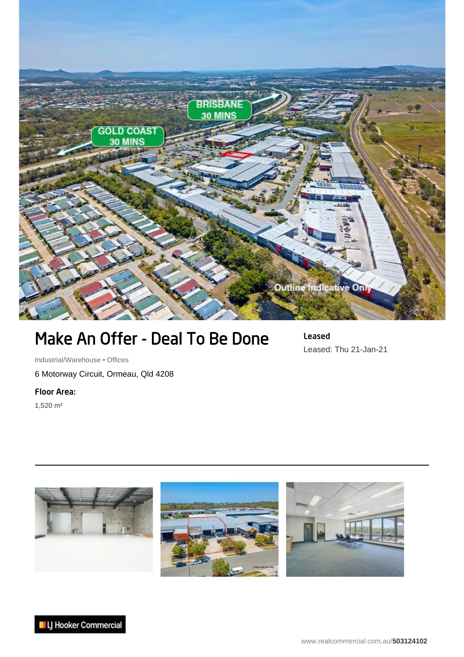

## Make An Offer - Deal To Be Done

Leased Leased: Thu 21-Jan-21

Industrial/Warehouse • Offices 6 Motorway Circuit, Ormeau, Qld 4208

Floor Area:

1,520 m²